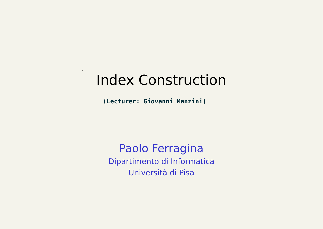#### Index Construction

**(Lecturer: Giovanni Manzini)**

Paolo Ferragina Dipartimento di Informatica Università di Pisa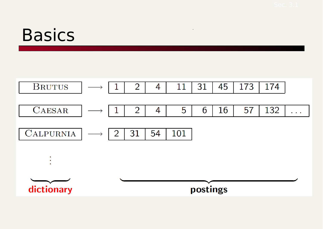### **Basics**



 $\ddot{\phantom{a}}$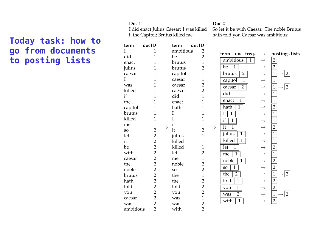#### **Today task: how to go from documents to posting lists**

#### $Doc 1$

i' the Capitol; Brutus killed me.

#### Doc 2

I did enact Julius Caesar: I was killed So let it be with Caesar. The noble Brutus hath told you Caesar was ambitious:

| term      | docID          | term      | docID          |                                   |                   |                                                 |
|-----------|----------------|-----------|----------------|-----------------------------------|-------------------|-------------------------------------------------|
| I         | 1              | ambitious | 2              | doc. freq.<br>term                | $\longrightarrow$ | postings lists                                  |
| did       | 1              | be        | $\overline{2}$ |                                   |                   |                                                 |
| enact     | 1              | brutus    | $\mathbf 1$    | ambitious<br>$\mathbf{1}$         | $\longrightarrow$ | $\overline{2}$                                  |
| julius    | 1              | brutus    | $\overline{2}$ | $\overline{1}$<br>be              | $\longrightarrow$ | $\overline{2}$                                  |
| caesar    | 1              | capitol   | $\mathbf 1$    | $\overline{2}$<br>brutus          | $\longrightarrow$ | $\mathbf{1}$<br>$\overline{2}$<br>$\rightarrow$ |
| I         | 1              | caesar    | 1              | $\overline{1}$<br>capitol         | $\longrightarrow$ | $\mathbf 1$                                     |
| was       | 1              | caesar    | $\overline{2}$ | $\overline{2}$<br>caesar          | $\longrightarrow$ | $\overline{2}$<br>$\mathbf 1$<br>$\rightarrow$  |
| killed    | 1              | caesar    | $\overline{2}$ | did<br>$\mathbf{1}$               |                   | $\mathbf{1}$                                    |
| i'        | 1              | did       | $\overline{1}$ |                                   | $\longrightarrow$ |                                                 |
| the       | 1              | enact     | 1              | $\mathbf{1}$<br>enact             |                   | $\mathbf{1}$                                    |
| capitol   | 1              | hath      | 1              | hath<br>$\mathbf{1}$              | $\longrightarrow$ | $\overline{2}$                                  |
| brutus    | 1              | I         | 1              | $\overline{1}$<br>I               |                   | $\mathbf{1}$                                    |
| killed    | 1              | I         | $\mathbf 1$    | $\overline{i'}$<br>$\overline{1}$ | $\longrightarrow$ | $\mathbf{1}$                                    |
| me        | $\mathbf{1}$   | i'        | 1              | $\overline{1}$<br>it              | $\longrightarrow$ | $\overline{2}$                                  |
| <b>SO</b> | $\overline{2}$ | it        | $\overline{2}$ |                                   |                   |                                                 |
| let       | $\overline{2}$ | julius    | $\mathbf 1$    | julius<br>$\mathbf 1$             | $\longrightarrow$ | $\mathbf{1}$                                    |
| it        | $\overline{2}$ | killed    | 1              | killed<br>$\overline{1}$          | $\longrightarrow$ | $\mathbf{1}$                                    |
| be        | $\overline{2}$ | killed    | 1              | $\overline{1}$<br>let             | $\longrightarrow$ | $\overline{2}$                                  |
| with      | $\overline{2}$ | let       | $\overline{2}$ | $\overline{1}$<br>me              | $\longrightarrow$ | $\mathbf{1}$                                    |
| caesar    | $\overline{2}$ | me        | $\mathbf 1$    | noble<br>$\mathbf{1}$             | $\rightarrow$     | $\overline{2}$                                  |
| the       | $\overline{2}$ | noble     | $\overline{c}$ | $\overline{1}$<br><b>SO</b>       | $\longrightarrow$ | $\overline{2}$                                  |
| noble     | $\overline{2}$ | <b>SO</b> | $\overline{2}$ |                                   |                   |                                                 |
| brutus    | $\overline{2}$ | the       | $\mathbf 1$    | $\overline{2}$<br>the             | $\rightarrow$     | $\mathbf 1$<br>$\overline{2}$                   |
| hath      | $\overline{2}$ | the       | $\overline{2}$ | $\overline{1}$<br>told            | $\longrightarrow$ | $\overline{2}$                                  |
| told      | $\overline{2}$ | told      | $\overline{2}$ | $\overline{1}$<br>you             |                   | $\overline{2}$                                  |
| you       | $\overline{2}$ | you       | $\overline{2}$ | $\overline{2}$<br>was             |                   | $\mathbf{1}$<br>$\overline{2}$                  |
| caesar    | $\overline{2}$ | was       | $\mathbf 1$    | with<br>$\overline{1}$            | $\longrightarrow$ | $\sqrt{2}$                                      |
| was       | $\overline{2}$ | was       | $\overline{c}$ |                                   |                   |                                                 |
| ambitious | $\overline{2}$ | with      | $\overline{2}$ |                                   |                   |                                                 |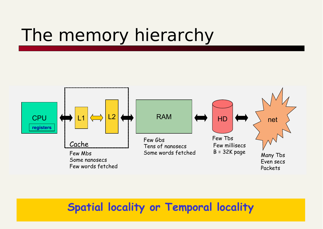## The memory hierarchy



#### **Spatial locality or Temporal locality**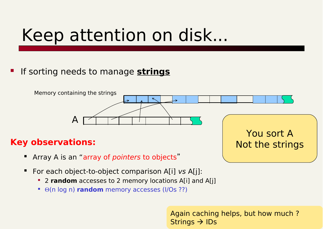## Keep attention on disk...

#### If sorting needs to manage **strings**



#### **Key observations:**

- Array A is an "array of *pointers* to objects"
- **For each object-to-object comparison A[i] vs A[j]:** 
	- <sup>2</sup> **2 random** accesses to 2 memory locations A[i] and A[j]
	- $\bullet$   $\Theta$ (n log n) **random** memory accesses (I/Os ??)

Again caching helps, but how much ? Strings  $\rightarrow$  IDs

Not the strings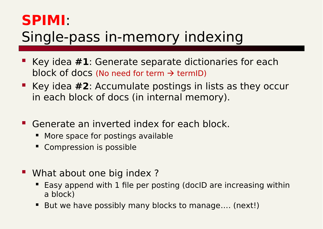#### **SPIMI**:

### Single-pass in-memory indexing

- Key idea **#1**: Generate separate dictionaries for each block of docs (No need for term  $\rightarrow$  termID)
- Key idea #2: Accumulate postings in lists as they occur in each block of docs (in internal memory).
- **Generate an inverted index for each block.** 
	- **More space for postings available**
	- Compression is possible
- **What about one big index?** 
	- Easy append with 1 file per posting (docID are increasing within a block)
	- But we have possibly many blocks to manage.... (next!)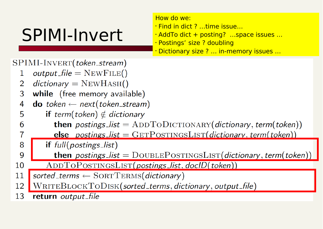## SPIMI-Invert

How do we:

- Find in dict ? …time issue…
- AddTo dict + posting? …space issues …
- Postings' size ? doubling
- Dictionary size ? … in-memory issues …

#### SPIMI-INVERT(token\_stream)

- $output$ -file =  $NEWFile()$  $\mathbf{1}$
- $dictionary = NEWHASH()$  $\mathcal{P}$
- while (free memory available) 3
- **do** token  $\leftarrow$  next(token\_stream) 4
- **if** term(token)  $\notin$  dictionary 5
- **then** postings\_list =  $ADDTODICTIONARY$  (dictionary, term (token)) 6
	- else postings\_list =  $GETPOSTINGSLIST(dictionary, term(token))$
- 8 if  $full(positings_list)$ 
	- then postings\_list =  $DouBLEPosTINGSLIST(dictionary, term(token))$
- $ADDTOPOSITION GSLIST(postings_list, doclD(token))$ 10
- sorted\_terms  $\leftarrow$  SORTTERMS(dictionary) 11
- $\text{WRITEBLOCKTODISK}(\textit{sorted}\_\textit{terms},\textit{dictionary},\textit{output}\_\textit{file})$ 12
- return output\_file 13

 $\overline{7}$ 

9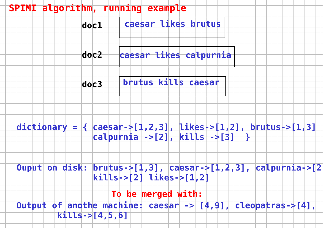**SPIMI algorithm, running example**

**caesar likes brutus doc1**

**caesar likes calpurnia doc2**

**brutus kills caesar doc3**

**dictionary = { caesar->[1,2,3], likes->[1,2], brutus->[1,3] calpurnia ->[2], kills ->[3] }**

**Ouput on disk: brutus->[1,3], caesar->[1,2,3], calpurnia->[2] kills->[2] likes->[1,2]**

**To be merged with:**

**Output of anothe machine: caesar -> [4,9], cleopatras->[4], kills->[4,5,6]**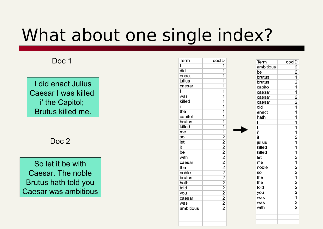## What about one single index?

#### Doc 1

I did enact Julius Caesar I was killed i' the Capitol; Brutus killed me.

Doc<sub>2</sub>

So let it be with Caesar. The noble Brutus hath told you Caesar was ambitious

| Term      | docID                                                                  |
|-----------|------------------------------------------------------------------------|
| ı         | 1                                                                      |
| did       | $\overline{\mathbf{1}}$                                                |
| enact     | $\overline{1}$                                                         |
| julius    | $\overline{\mathbf{1}}$                                                |
| caesar    | $\overline{1}$                                                         |
| Ī         | $\overline{\mathbf{1}}$                                                |
| was       | 1                                                                      |
| killed    | $\overline{1}$                                                         |
| ï         | $\overline{1}$                                                         |
| the       | $\overline{\mathbf{1}}$                                                |
| capitol   | $\overline{\mathbf{1}}$                                                |
| brutus    | $\overline{\mathbf{1}}$                                                |
| killed    | $\overline{1}$                                                         |
| me        | $\overline{\mathbf{1}}$                                                |
| so        |                                                                        |
| let       |                                                                        |
| it        |                                                                        |
| be        |                                                                        |
| with      |                                                                        |
| caesar    |                                                                        |
| the       |                                                                        |
| noble     |                                                                        |
| brutus    |                                                                        |
| hath      |                                                                        |
| told      |                                                                        |
| you       |                                                                        |
| caesar    | 2<br>2<br>2<br>2<br>2<br>2<br>2<br>2<br>2<br>2<br>2<br>2<br>2<br>2<br> |
| was       |                                                                        |
| ambitious |                                                                        |
|           |                                                                        |
|           |                                                                        |

| Term      | docID                                                                                                                                                                                              |
|-----------|----------------------------------------------------------------------------------------------------------------------------------------------------------------------------------------------------|
| ambitious |                                                                                                                                                                                                    |
|           | $\frac{2}{2}$ $\frac{1}{2}$ $\frac{1}{1}$                                                                                                                                                          |
| be        |                                                                                                                                                                                                    |
| brutus    |                                                                                                                                                                                                    |
| brutus    |                                                                                                                                                                                                    |
| capitol   |                                                                                                                                                                                                    |
| caesar    | $\frac{1}{2}$ $\frac{2}{1}$                                                                                                                                                                        |
| caesar    |                                                                                                                                                                                                    |
| caesar    |                                                                                                                                                                                                    |
| did       |                                                                                                                                                                                                    |
| enact     | $\overline{\mathbf{1}}$                                                                                                                                                                            |
| hath      | $\overline{1}$                                                                                                                                                                                     |
| Ī         | $\overline{\mathbf{1}}$                                                                                                                                                                            |
| Ï         | $\overline{\mathbf{1}}$                                                                                                                                                                            |
| ï'        | $\overline{\mathbf{1}}$                                                                                                                                                                            |
| it        | $\overline{2}$                                                                                                                                                                                     |
| julius    |                                                                                                                                                                                                    |
| killed    | $\overline{1}$ $\overline{1}$ $\overline{2}$ $\overline{1}$ $\overline{2}$ $\overline{2}$ $\overline{1}$ $\overline{2}$ $\overline{2}$ $\overline{2}$ $\overline{1}$ $\overline{2}$ $\overline{2}$ |
| killed    |                                                                                                                                                                                                    |
| let       |                                                                                                                                                                                                    |
| me        |                                                                                                                                                                                                    |
| noble     |                                                                                                                                                                                                    |
| SO        |                                                                                                                                                                                                    |
| the       |                                                                                                                                                                                                    |
| the       |                                                                                                                                                                                                    |
| told      |                                                                                                                                                                                                    |
| you       |                                                                                                                                                                                                    |
| was       |                                                                                                                                                                                                    |
| was       |                                                                                                                                                                                                    |
| with      |                                                                                                                                                                                                    |
|           |                                                                                                                                                                                                    |
|           |                                                                                                                                                                                                    |
|           |                                                                                                                                                                                                    |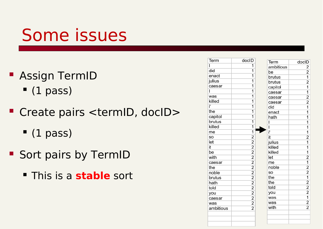## Some issues

- **Assign TermID** 
	- $(1 \text{ pass})$
- Create pairs <termID, docID>
	- $(1 \text{ pass})$
- **Sort pairs by TermID** 
	- This is a **stable** sort

| Term      | docID                   | Term      | doclD                   |
|-----------|-------------------------|-----------|-------------------------|
| I         | 1                       | ambitious | 2                       |
| did       | 1                       | be        | $\overline{2}$          |
| enact     | 1                       | brutus    | $\overline{1}$          |
| julius    | 1                       | brutus    | $\overline{2}$          |
| caesar    | $\overline{\mathbf{1}}$ | capitol   | $\overline{1}$          |
| ı         | 1                       | caesar    | $\overline{1}$          |
| was       | 1                       | caesar    | $\overline{2}$          |
| killed    | 1                       | caesar    | $\overline{2}$          |
| ï         | 1                       | did       | $\overline{\mathbf{1}}$ |
| the       | 1                       | enact     | $\overline{1}$          |
| capitol   | $\overline{\mathbf{1}}$ | hath      | $\overline{\mathbf{1}}$ |
| brutus    | $\overline{1}$          | ı         | 1                       |
| killed    | 1                       | ı         | 1                       |
| me        | 1                       | ï         | $\overline{1}$          |
| SO        | $\overline{2}$          | it        | $\overline{2}$          |
| let       | $\frac{2}{2}$           | julius    | $\overline{\mathbf{1}}$ |
| it        |                         | killed    | $\overline{\mathbf{1}}$ |
| be        | $\overline{2}$          | killed    | $\overline{1}$          |
| with      | $\overline{2}$          | let       | $\overline{2}$          |
| caesar    | $\overline{2}$          | me        | $\overline{\mathbf{1}}$ |
| the       | $\overline{2}$          | noble     | $\overline{2}$          |
| noble     | $\overline{2}$          | so        | $\overline{2}$          |
| brutus    | $\overline{2}$          | the       | $\overline{\mathbf{1}}$ |
| hath      | $\overline{2}$          | the       | $\overline{2}$          |
| told      | $\overline{2}$          | told      | $\frac{2}{2}$           |
| you       | $\overline{2}$          | you       |                         |
| caesar    | $\overline{2}$          | was       |                         |
| was       | $\overline{2}$          | was       | $\overline{2}$          |
| ambitious | $\overline{2}$          | with      | $\overline{2}$          |
|           |                         |           |                         |
|           |                         |           |                         |
|           |                         |           |                         |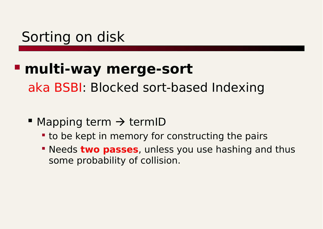#### Sorting on disk

#### **multi-way merge-sort**

aka BSBI: Blocked sort-based Indexing

- Mapping term  $\rightarrow$  termID
	- **to be kept in memory for constructing the pairs**
	- **Needs two passes**, unless you use hashing and thus some probability of collision.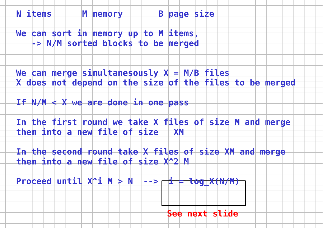**N items M memory B page size** 

**We can sort in memory up to M items, -> N/M sorted blocks to be merged** 

**We can merge simultanesously X = M/B files X does not depend on the size of the files to be merged**

**If N/M < X we are done in one pass** 

**In the first round we take X files of size M and merge them into a new file of size XM** 

**In the second round take X files of size XM and merge them into a new file of size X^2 M** 

 $\frac{1}{2}$  Proceed until  $X^2$ i M > N  $\rightarrow$   $\rightarrow$   $\frac{1}{2}$   $\rightarrow$   $\frac{1}{2}$   $\rightarrow$   $\frac{1}{2}$   $\rightarrow$   $\frac{1}{2}$   $\rightarrow$   $\frac{1}{2}$   $\rightarrow$   $\frac{1}{2}$   $\rightarrow$   $\frac{1}{2}$   $\rightarrow$   $\frac{1}{2}$   $\rightarrow$   $\frac{1}{2}$   $\rightarrow$   $\frac{1}{2}$   $\rightarrow$   $\frac{1}{2}$   $\rightarrow$   $\frac{1}{2}$ 

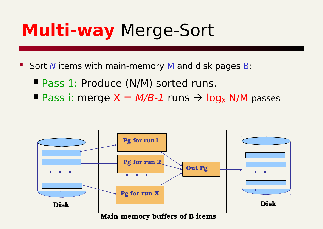## **Multi-way** Merge-Sort

Sort N items with main-memory M and disk pages B:

- $P$ ass 1: Produce (N/M) sorted runs.
- **Pass i: merge**  $X = M/B-1$  **runs**  $\rightarrow$  **log<sub>x</sub> N/M** passes

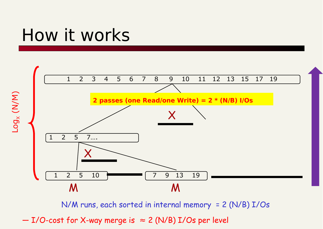### How it works

Log

X (N/M)



N/M runs, each sorted in internal memory = 2 (N/B) I/Os

 $-$  I/O-cost for X-way merge is  $\approx$  2 (N/B) I/Os per level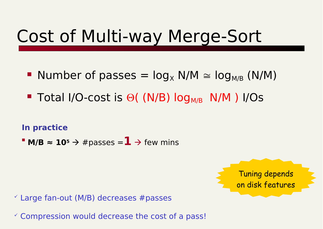## Cost of Multi-way Merge-Sort

- Number of passes  $=$   $log_x$  N/M  $\approx$   $log_{M/R}$  (N/M)
- Total I/O-cost is  $\Theta$ ( (N/B)  $log_{M/B}$  N/M) I/Os

#### **In practice**

**M/B**  $\approx$  **10<sup>5</sup>**  $\rightarrow$  **#passes = 1**  $\rightarrow$  few mins

Tuning depends on disk features

 $\checkmark$  Large fan-out (M/B) decreases #passes

 $\checkmark$  Compression would decrease the cost of a pass!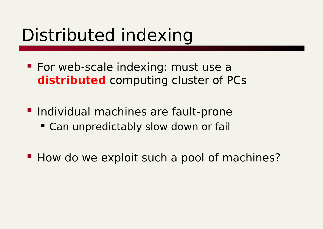## Distributed indexing

- **For web-scale indexing: must use a distributed** computing cluster of PCs
- **Individual machines are fault-prone Can unpredictably slow down or fail**
- How do we exploit such a pool of machines?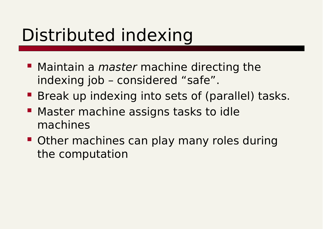## Distributed indexing

- Maintain a *master* machine directing the indexing job – considered "safe".
- Break up indexing into sets of (parallel) tasks.
- **Master machine assigns tasks to idle** machines
- **Other machines can play many roles during** the computation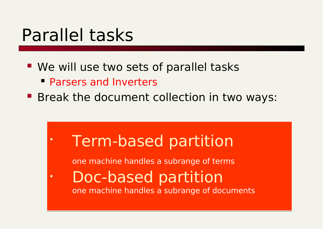### Parallel tasks

- **We will use two sets of parallel tasks** 
	- Parsers and Inverters
- **Break the document collection in two ways:**

• Term-based partition • Term-based partition

one machine handles a subrange of terms one machine handles a subrange of terms

• Doc-based partition • Doc-based partition one machine handles a subrange of documents one machine handles a subrange of documents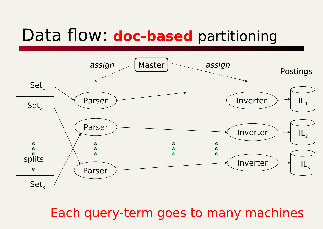### Data flow: **doc-based** partitioning



Each query-term goes to many machines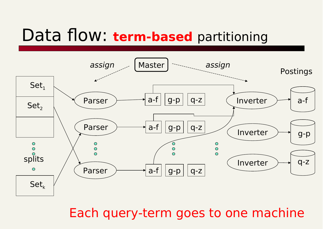#### Data flow: **term-based** partitioning



Each query-term goes to one machine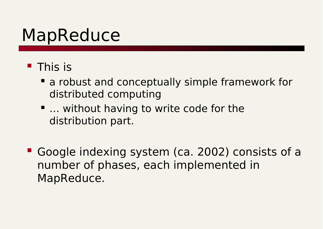### MapReduce

#### **This is**

- a robust and conceptually simple framework for distributed computing
- … without having to write code for the distribution part.
- Google indexing system (ca. 2002) consists of a number of phases, each implemented in MapReduce.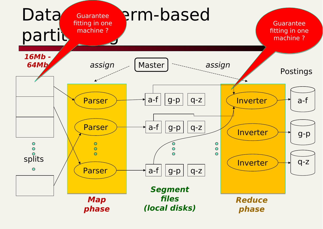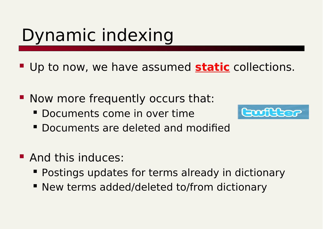# Dynamic indexing

- **Up to now, we have assumed static collections.**
- Now more frequently occurs that:
	- Documents come in over time



- Documents are deleted and modified
- **And this induces:** 
	- **Postings updates for terms already in dictionary**
	- New terms added/deleted to/from dictionary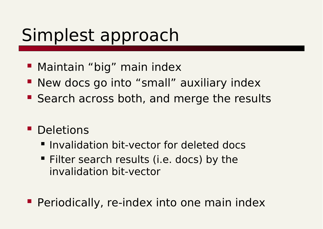# Simplest approach

- **Maintain "big" main index**
- **New docs go into "small" auxiliary index**
- **Search across both, and merge the results**
- **Deletions** 
	- **Invalidation bit-vector for deleted docs**
	- Filter search results (i.e. docs) by the invalidation bit-vector
- **Periodically, re-index into one main index**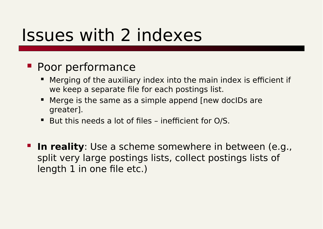### Issues with 2 indexes

#### **Poor performance**

- Merging of the auxiliary index into the main index is efficient if we keep a separate file for each postings list.
- Merge is the same as a simple append [new docIDs are greater].
- But this needs a lot of files inefficient for O/S.
- **In reality**: Use a scheme somewhere in between (e.g., split very large postings lists, collect postings lists of length 1 in one file etc.)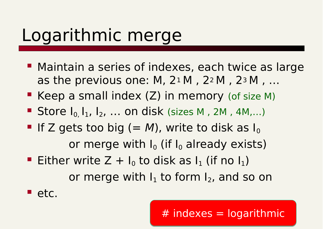## Logarithmic merge

- **Maintain a series of indexes, each twice as large** as the previous one: M,  $2^1 M$ ,  $2^2 M$ ,  $2^3 M$ , ...
- Keep a small index  $(Z)$  in memory (of size M)
- Store  $I_0, I_1, I_2, \ldots$  on disk (sizes M, 2M, 4M,...)
- If Z gets too big  $(= M)$ , write to disk as I<sub>0</sub> or merge with  $I_0$  (if  $I_0$  already exists)
- Either write  $Z + I_0$  to disk as  $I_1$  (if no  $I_1$ ) or merge with  $I_1$  to form  $I_2$ , and so on

etc.

#### $#$  indexes = logarithmic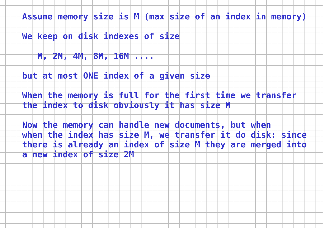**Assume memory size is M (max size of an index in memory)**

**We keep on disk indexes of size** 

 **M, 2M, 4M, 8M, 16M ....**

**but at most ONE index of a given size** 

**When the memory is full for the first time we transfer the index to disk obviously it has size M** 

**Now the memory can handle new documents, but when when the index has size M, we transfer it do disk: since there is already an index of size M they are merged into a new index of size 2M**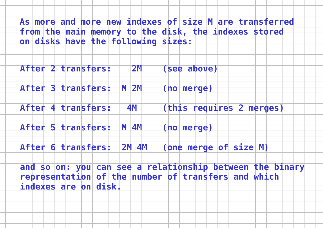**As more and more new indexes of size M are transferred from the main memory to the disk, the indexes stored on disks have the following sizes:**

**After 2 transfers: 2M (see above)**

**After 3 transfers: M 2M (no merge)**

**After 4 transfers: 4M (this requires 2 merges)**

**After 5 transfers: M 4M (no merge)**

**After 6 transfers: 2M 4M (one merge of size M)**

**and so on: you can see a relationship between the binary representation of the number of transfers and which indexes are on disk.**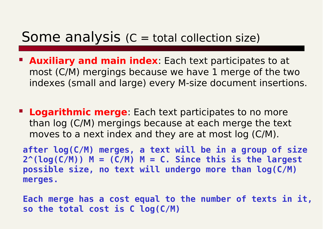#### Some analysis  $(C = total$  collection size)

- **Auxiliary and main index**: Each text participates to at most  $(C/M)$  mergings because we have 1 merge of the two indexes (small and large) every M-size document insertions.
- **Logarithmic merge**: Each text participates to no more than log (C/M) mergings because at each merge the text moves to a next index and they are at most log  $(C/M)$ .

**after log(C/M) merges, a text will be in a group of size 2^(log(C/M)) M = (C/M) M = C. Since this is the largest possible size, no text will undergo more than log(C/M) merges.**

**Each merge has a cost equal to the number of texts in it, so the total cost is C log(C/M)**